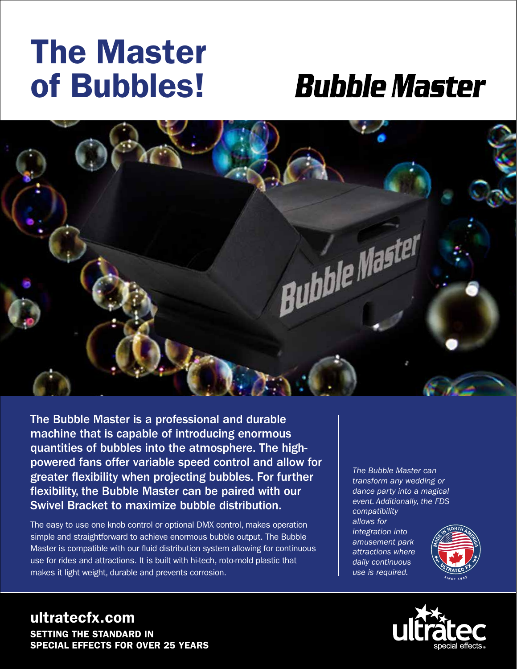## The Master of Bubbles!

## **Bubble Master**



The Bubble Master is a professional and durable machine that is capable of introducing enormous quantities of bubbles into the atmosphere. The highpowered fans offer variable speed control and allow for greater flexibility when projecting bubbles. For further flexibility, the Bubble Master can be paired with our Swivel Bracket to maximize bubble distribution.

The easy to use one knob control or optional DMX control, makes operation simple and straightforward to achieve enormous bubble output. The Bubble Master is compatible with our fluid distribution system allowing for continuous use for rides and attractions. It is built with hi-tech, roto-mold plastic that makes it light weight, durable and prevents corrosion.

*The Bubble Master can transform any wedding or dance party into a magical event. Additionally, the FDS compatibility allows for integration into amusement park attractions where daily continuous use is required.*





ultratecfx.com SETTING THE STANDARD IN SPECIAL EFFECTS FOR OVER 25 YEARS